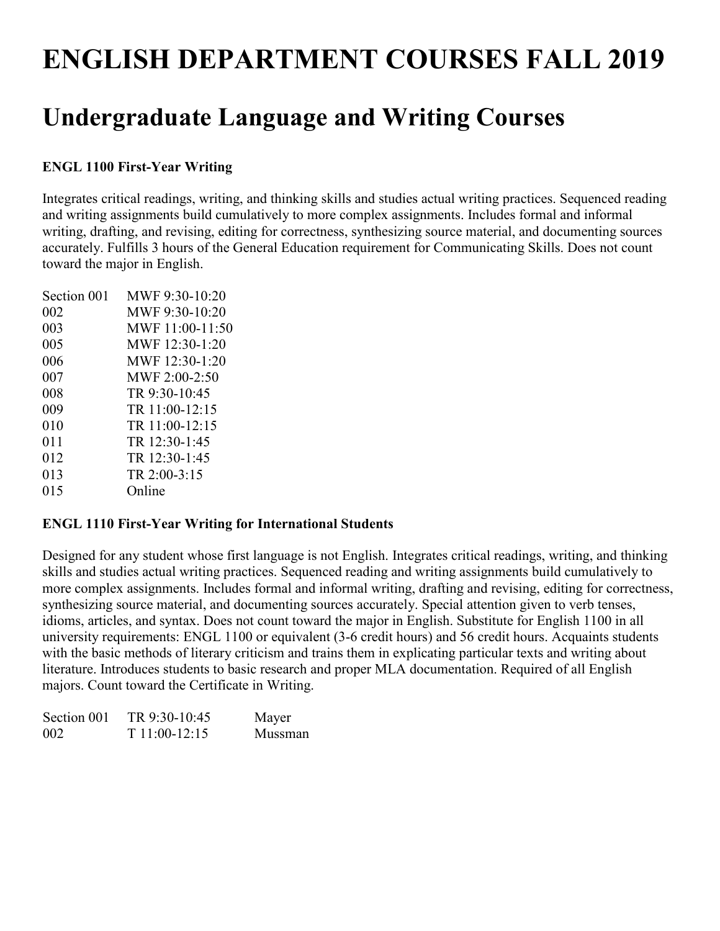# **ENGLISH DEPARTMENT COURSES FALL 2019**

# **Undergraduate Language and Writing Courses**

# **ENGL 1100 First-Year Writing**

Integrates critical readings, writing, and thinking skills and studies actual writing practices. Sequenced reading and writing assignments build cumulatively to more complex assignments. Includes formal and informal writing, drafting, and revising, editing for correctness, synthesizing source material, and documenting sources accurately. Fulfills 3 hours of the General Education requirement for Communicating Skills. Does not count toward the major in English.

| Section 001 | MWF 9:30-10:20    |
|-------------|-------------------|
| 002         | MWF 9:30-10:20    |
| 003         | MWF $11:00-11:50$ |
| 005         | MWF 12:30-1:20    |
| 006         | MWF 12:30-1:20    |
| 007         | MWF $2:00-2:50$   |
| 008         | TR 9:30-10:45     |
| 009         | TR 11:00-12:15    |
| 010         | TR 11:00-12:15    |
| 011         | TR 12:30-1:45     |
| 012         | TR 12:30-1:45     |
| 013         | TR 2:00-3:15      |
| 015         | Online            |
|             |                   |

#### **ENGL 1110 First-Year Writing for International Students**

Designed for any student whose first language is not English. Integrates critical readings, writing, and thinking skills and studies actual writing practices. Sequenced reading and writing assignments build cumulatively to more complex assignments. Includes formal and informal writing, drafting and revising, editing for correctness, synthesizing source material, and documenting sources accurately. Special attention given to verb tenses, idioms, articles, and syntax. Does not count toward the major in English. Substitute for English 1100 in all university requirements: ENGL 1100 or equivalent (3-6 credit hours) and 56 credit hours. Acquaints students with the basic methods of literary criticism and trains them in explicating particular texts and writing about literature. Introduces students to basic research and proper MLA documentation. Required of all English majors. Count toward the Certificate in Writing.

| Section 001 | TR 9:30-10:45  | Mayer   |
|-------------|----------------|---------|
| 002         | $T11:00-12:15$ | Mussman |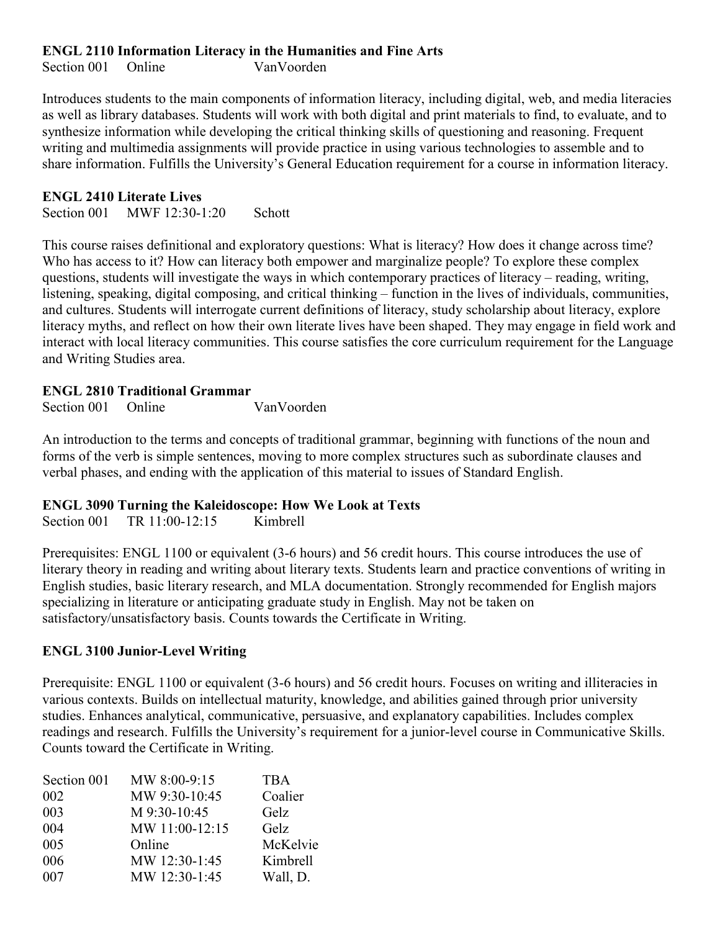#### **ENGL 2110 Information Literacy in the Humanities and Fine Arts**

Section 001 Online VanVoorden

Introduces students to the main components of information literacy, including digital, web, and media literacies as well as library databases. Students will work with both digital and print materials to find, to evaluate, and to synthesize information while developing the critical thinking skills of questioning and reasoning. Frequent writing and multimedia assignments will provide practice in using various technologies to assemble and to share information. Fulfills the University's General Education requirement for a course in information literacy.

#### **ENGL 2410 Literate Lives**

Section 001 MWF 12:30-1:20 Schott

This course raises definitional and exploratory questions: What is literacy? How does it change across time? Who has access to it? How can literacy both empower and marginalize people? To explore these complex questions, students will investigate the ways in which contemporary practices of literacy – reading, writing, listening, speaking, digital composing, and critical thinking – function in the lives of individuals, communities, and cultures. Students will interrogate current definitions of literacy, study scholarship about literacy, explore literacy myths, and reflect on how their own literate lives have been shaped. They may engage in field work and interact with local literacy communities. This course satisfies the core curriculum requirement for the Language and Writing Studies area.

#### **ENGL 2810 Traditional Grammar**

Section 001 Online VanVoorden

An introduction to the terms and concepts of traditional grammar, beginning with functions of the noun and forms of the verb is simple sentences, moving to more complex structures such as subordinate clauses and verbal phases, and ending with the application of this material to issues of Standard English.

# **ENGL 3090 Turning the Kaleidoscope: How We Look at Texts**

Section 001 TR 11:00-12:15 Kimbrell

Prerequisites: ENGL 1100 or equivalent (3-6 hours) and 56 credit hours. This course introduces the use of literary theory in reading and writing about literary texts. Students learn and practice conventions of writing in English studies, basic literary research, and MLA documentation. Strongly recommended for English majors specializing in literature or anticipating graduate study in English. May not be taken on satisfactory/unsatisfactory basis. Counts towards the Certificate in Writing.

# **ENGL 3100 Junior-Level Writing**

Prerequisite: ENGL 1100 or equivalent (3-6 hours) and 56 credit hours. Focuses on writing and illiteracies in various contexts. Builds on intellectual maturity, knowledge, and abilities gained through prior university studies. Enhances analytical, communicative, persuasive, and explanatory capabilities. Includes complex readings and research. Fulfills the University's requirement for a junior-level course in Communicative Skills. Counts toward the Certificate in Writing.

| Section 001 | MW 8:00-9:15   | <b>TBA</b> |
|-------------|----------------|------------|
| 002         | MW 9:30-10:45  | Coalier    |
| 003         | M 9:30-10:45   | Gelz       |
| 004         | MW 11:00-12:15 | Gelz       |
| 005         | Online         | McKelvie   |
| 006         | MW 12:30-1:45  | Kimbrell   |
| 007         | MW 12:30-1:45  | Wall, D.   |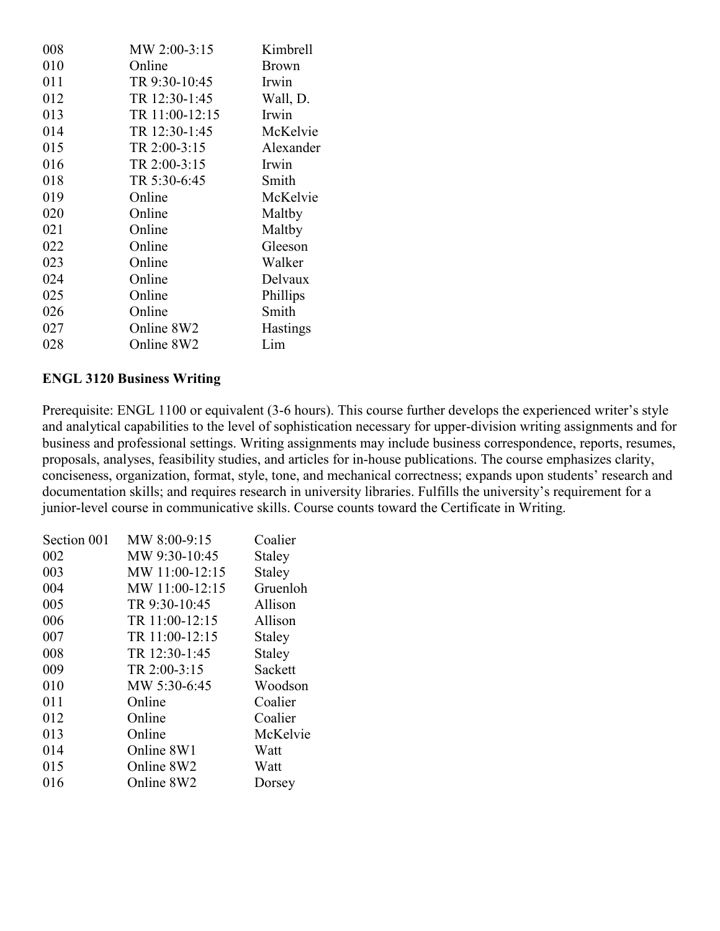| 008 | MW 2:00-3:15   | Kimbrell     |
|-----|----------------|--------------|
| 010 | Online         | <b>Brown</b> |
| 011 | TR 9:30-10:45  | Irwin        |
| 012 | TR 12:30-1:45  | Wall, D.     |
| 013 | TR 11:00-12:15 | Irwin        |
| 014 | TR 12:30-1:45  | McKelvie     |
| 015 | TR 2:00-3:15   | Alexander    |
| 016 | TR 2:00-3:15   | Irwin        |
| 018 | TR 5:30-6:45   | Smith        |
| 019 | Online         | McKelvie     |
| 020 | Online         | Maltby       |
| 021 | Online         | Maltby       |
| 022 | Online         | Gleeson      |
| 023 | Online         | Walker       |
| 024 | Online         | Delvaux      |
| 025 | Online         | Phillips     |
| 026 | Online         | Smith        |
| 027 | Online 8W2     | Hastings     |
| 028 | Online 8W2     | Lim          |
|     |                |              |

#### **ENGL 3120 Business Writing**

Prerequisite: ENGL 1100 or equivalent (3-6 hours). This course further develops the experienced writer's style and analytical capabilities to the level of sophistication necessary for upper-division writing assignments and for business and professional settings. Writing assignments may include business correspondence, reports, resumes, proposals, analyses, feasibility studies, and articles for in-house publications. The course emphasizes clarity, conciseness, organization, format, style, tone, and mechanical correctness; expands upon students' research and documentation skills; and requires research in university libraries. Fulfills the university's requirement for a junior-level course in communicative skills. Course counts toward the Certificate in Writing.

| MW 8:00-9:15   | Coalier  |
|----------------|----------|
| MW 9:30-10:45  | Staley   |
| MW 11:00-12:15 | Staley   |
| MW 11:00-12:15 | Gruenloh |
| TR 9:30-10:45  | Allison  |
| TR 11:00-12:15 | Allison  |
| TR 11:00-12:15 | Staley   |
| TR 12:30-1:45  | Staley   |
| TR 2:00-3:15   | Sackett  |
| MW 5:30-6:45   | Woodson  |
| Online         | Coalier  |
| Online         | Coalier  |
| Online         | McKelvie |
| Online 8W1     | Watt     |
| Online 8W2     | Watt     |
| Online 8W2     | Dorsey   |
|                |          |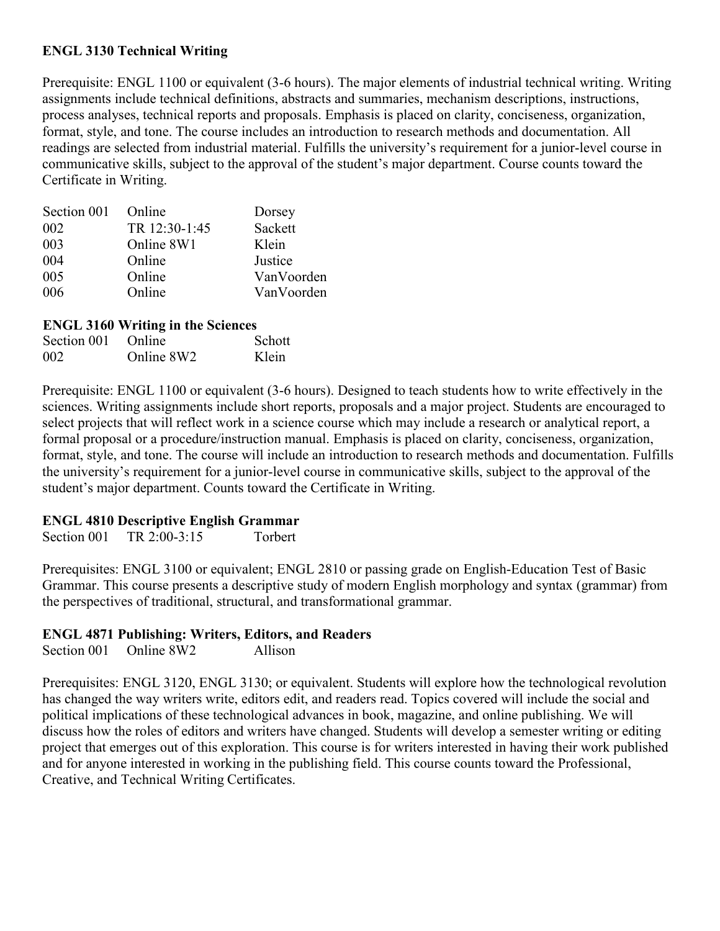#### **ENGL 3130 Technical Writing**

Prerequisite: ENGL 1100 or equivalent (3-6 hours). The major elements of industrial technical writing. Writing assignments include technical definitions, abstracts and summaries, mechanism descriptions, instructions, process analyses, technical reports and proposals. Emphasis is placed on clarity, conciseness, organization, format, style, and tone. The course includes an introduction to research methods and documentation. All readings are selected from industrial material. Fulfills the university's requirement for a junior-level course in communicative skills, subject to the approval of the student's major department. Course counts toward the Certificate in Writing.

| Section 001 | Online        | Dorsey     |
|-------------|---------------|------------|
| 002         | TR 12:30-1:45 | Sackett    |
| 003         | Online 8W1    | Klein      |
| 004         | Online        | Justice    |
| 005         | Online        | VanVoorden |
| 006         | Online        | VanVoorden |

#### **ENGL 3160 Writing in the Sciences**

| Section 001 Online |            | Schott |
|--------------------|------------|--------|
| 002                | Online 8W2 | Klein  |

Prerequisite: ENGL 1100 or equivalent (3-6 hours). Designed to teach students how to write effectively in the sciences. Writing assignments include short reports, proposals and a major project. Students are encouraged to select projects that will reflect work in a science course which may include a research or analytical report, a formal proposal or a procedure/instruction manual. Emphasis is placed on clarity, conciseness, organization, format, style, and tone. The course will include an introduction to research methods and documentation. Fulfills the university's requirement for a junior-level course in communicative skills, subject to the approval of the student's major department. Counts toward the Certificate in Writing.

#### **ENGL 4810 Descriptive English Grammar**

Section 001 TR 2:00-3:15 Torbert

Prerequisites: ENGL 3100 or equivalent; ENGL 2810 or passing grade on English-Education Test of Basic Grammar. This course presents a descriptive study of modern English morphology and syntax (grammar) from the perspectives of traditional, structural, and transformational grammar.

#### **ENGL 4871 Publishing: Writers, Editors, and Readers**

Section 001 Online 8W2 Allison

Prerequisites: ENGL 3120, ENGL 3130; or equivalent. Students will explore how the technological revolution has changed the way writers write, editors edit, and readers read. Topics covered will include the social and political implications of these technological advances in book, magazine, and online publishing. We will discuss how the roles of editors and writers have changed. Students will develop a semester writing or editing project that emerges out of this exploration. This course is for writers interested in having their work published and for anyone interested in working in the publishing field. This course counts toward the Professional, Creative, and Technical Writing Certificates.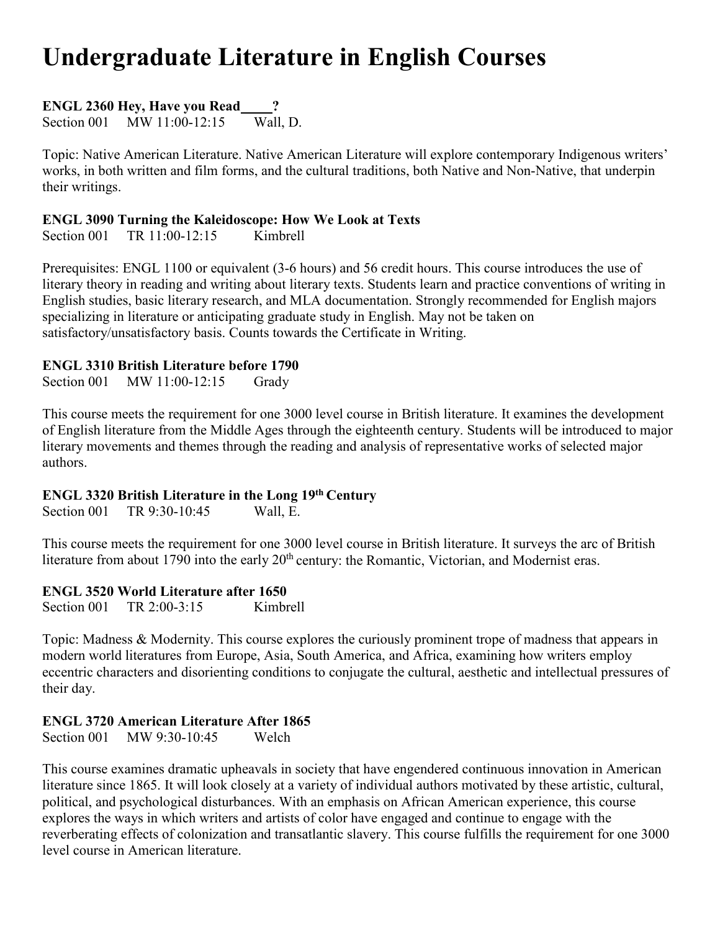# **Undergraduate Literature in English Courses**

**ENGL 2360 Hey, Have you Read ?**

Section 001 MW 11:00-12:15 Wall, D.

Topic: Native American Literature. Native American Literature will explore contemporary Indigenous writers' works, in both written and film forms, and the cultural traditions, both Native and Non-Native, that underpin their writings.

### **ENGL 3090 Turning the Kaleidoscope: How We Look at Texts**

Section 001 TR 11:00-12:15 Kimbrell

Prerequisites: ENGL 1100 or equivalent (3-6 hours) and 56 credit hours. This course introduces the use of literary theory in reading and writing about literary texts. Students learn and practice conventions of writing in English studies, basic literary research, and MLA documentation. Strongly recommended for English majors specializing in literature or anticipating graduate study in English. May not be taken on satisfactory/unsatisfactory basis. Counts towards the Certificate in Writing.

# **ENGL 3310 British Literature before 1790**

Section 001 MW 11:00-12:15 Grady

This course meets the requirement for one 3000 level course in British literature. It examines the development of English literature from the Middle Ages through the eighteenth century. Students will be introduced to major literary movements and themes through the reading and analysis of representative works of selected major authors.

# **ENGL 3320 British Literature in the Long 19th Century**

Section 001 TR 9:30-10:45 Wall, E.

This course meets the requirement for one 3000 level course in British literature. It surveys the arc of British literature from about 1790 into the early 20<sup>th</sup> century: the Romantic, Victorian, and Modernist eras.

# **ENGL 3520 World Literature after 1650**

Section 001 TR 2:00-3:15 Kimbrell

Topic: Madness & Modernity. This course explores the curiously prominent trope of madness that appears in modern world literatures from Europe, Asia, South America, and Africa, examining how writers employ eccentric characters and disorienting conditions to conjugate the cultural, aesthetic and intellectual pressures of their day.

# **ENGL 3720 American Literature After 1865**

Section 001 MW 9:30-10:45 Welch

This course examines dramatic upheavals in society that have engendered continuous innovation in American literature since 1865. It will look closely at a variety of individual authors motivated by these artistic, cultural, political, and psychological disturbances. With an emphasis on African American experience, this course explores the ways in which writers and artists of color have engaged and continue to engage with the reverberating effects of colonization and transatlantic slavery. This course fulfills the requirement for one 3000 level course in American literature.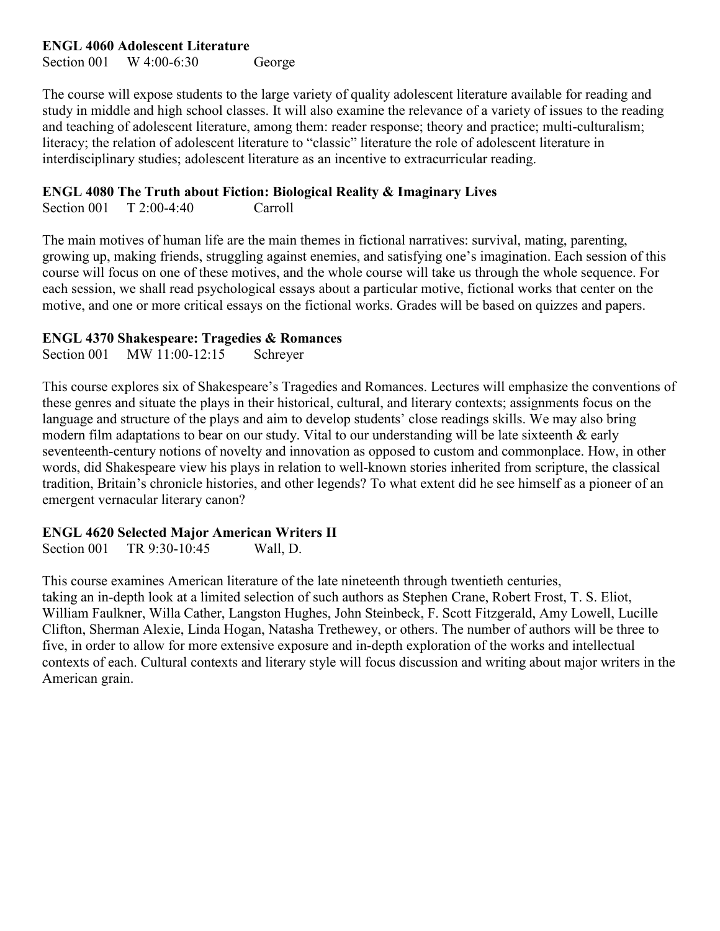#### **ENGL 4060 Adolescent Literature**

Section 001 W 4:00-6:30 George

The course will expose students to the large variety of quality adolescent literature available for reading and study in middle and high school classes. It will also examine the relevance of a variety of issues to the reading and teaching of adolescent literature, among them: reader response; theory and practice; multi-culturalism; literacy; the relation of adolescent literature to "classic" literature the role of adolescent literature in interdisciplinary studies; adolescent literature as an incentive to extracurricular reading.

#### **ENGL 4080 The Truth about Fiction: Biological Reality & Imaginary Lives**

Section 001 T 2:00-4:40 Carroll

The main motives of human life are the main themes in fictional narratives: survival, mating, parenting, growing up, making friends, struggling against enemies, and satisfying one's imagination. Each session of this course will focus on one of these motives, and the whole course will take us through the whole sequence. For each session, we shall read psychological essays about a particular motive, fictional works that center on the motive, and one or more critical essays on the fictional works. Grades will be based on quizzes and papers.

#### **ENGL 4370 Shakespeare: Tragedies & Romances**

Section 001 MW 11:00-12:15 Schreyer

This course explores six of Shakespeare's Tragedies and Romances. Lectures will emphasize the conventions of these genres and situate the plays in their historical, cultural, and literary contexts; assignments focus on the language and structure of the plays and aim to develop students' close readings skills. We may also bring modern film adaptations to bear on our study. Vital to our understanding will be late sixteenth & early seventeenth-century notions of novelty and innovation as opposed to custom and commonplace. How, in other words, did Shakespeare view his plays in relation to well-known stories inherited from scripture, the classical tradition, Britain's chronicle histories, and other legends? To what extent did he see himself as a pioneer of an emergent vernacular literary canon?

#### **ENGL 4620 Selected Major American Writers II**

Section 001 TR 9:30-10:45 Wall, D.

This course examines American literature of the late nineteenth through twentieth centuries, taking an in-depth look at a limited selection of such authors as Stephen Crane, Robert Frost, T. S. Eliot, William Faulkner, Willa Cather, Langston Hughes, John Steinbeck, F. Scott Fitzgerald, Amy Lowell, Lucille Clifton, Sherman Alexie, Linda Hogan, Natasha Trethewey, or others. The number of authors will be three to five, in order to allow for more extensive exposure and in-depth exploration of the works and intellectual contexts of each. Cultural contexts and literary style will focus discussion and writing about major writers in the American grain.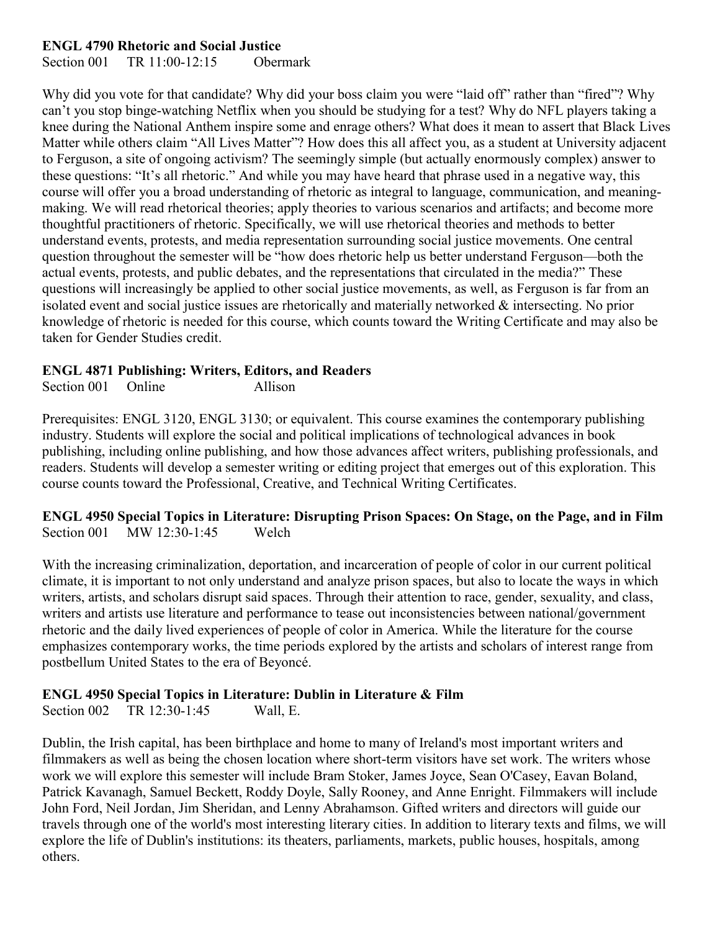#### **ENGL 4790 Rhetoric and Social Justice**

Section 001 TR 11:00-12:15 Obermark

Why did you vote for that candidate? Why did your boss claim you were "laid off" rather than "fired"? Why can't you stop binge-watching Netflix when you should be studying for a test? Why do NFL players taking a knee during the National Anthem inspire some and enrage others? What does it mean to assert that Black Lives Matter while others claim "All Lives Matter"? How does this all affect you, as a student at University adjacent to Ferguson, a site of ongoing activism? The seemingly simple (but actually enormously complex) answer to these questions: "It's all rhetoric." And while you may have heard that phrase used in a negative way, this course will offer you a broad understanding of rhetoric as integral to language, communication, and meaningmaking. We will read rhetorical theories; apply theories to various scenarios and artifacts; and become more thoughtful practitioners of rhetoric. Specifically, we will use rhetorical theories and methods to better understand events, protests, and media representation surrounding social justice movements. One central question throughout the semester will be "how does rhetoric help us better understand Ferguson—both the actual events, protests, and public debates, and the representations that circulated in the media?" These questions will increasingly be applied to other social justice movements, as well, as Ferguson is far from an isolated event and social justice issues are rhetorically and materially networked & intersecting. No prior knowledge of rhetoric is needed for this course, which counts toward the Writing Certificate and may also be taken for Gender Studies credit.

#### **ENGL 4871 Publishing: Writers, Editors, and Readers**

Section 001 Online Allison

Prerequisites: ENGL 3120, ENGL 3130; or equivalent. This course examines the contemporary publishing industry. Students will explore the social and political implications of technological advances in book publishing, including online publishing, and how those advances affect writers, publishing professionals, and readers. Students will develop a semester writing or editing project that emerges out of this exploration. This course counts toward the Professional, Creative, and Technical Writing Certificates.

**ENGL 4950 Special Topics in Literature: Disrupting Prison Spaces: On Stage, on the Page, and in Film** Section 001 MW 12:30-1:45 Welch

With the increasing criminalization, deportation, and incarceration of people of color in our current political climate, it is important to not only understand and analyze prison spaces, but also to locate the ways in which writers, artists, and scholars disrupt said spaces. Through their attention to race, gender, sexuality, and class, writers and artists use literature and performance to tease out inconsistencies between national/government rhetoric and the daily lived experiences of people of color in America. While the literature for the course emphasizes contemporary works, the time periods explored by the artists and scholars of interest range from postbellum United States to the era of Beyoncé.

#### **ENGL 4950 Special Topics in Literature: Dublin in Literature & Film**

Section 002 TR 12:30-1:45 Wall, E.

Dublin, the Irish capital, has been birthplace and home to many of Ireland's most important writers and filmmakers as well as being the chosen location where short-term visitors have set work. The writers whose work we will explore this semester will include Bram Stoker, James Joyce, Sean O'Casey, Eavan Boland, Patrick Kavanagh, Samuel Beckett, Roddy Doyle, Sally Rooney, and Anne Enright. Filmmakers will include John Ford, Neil Jordan, Jim Sheridan, and Lenny Abrahamson. Gifted writers and directors will guide our travels through one of the world's most interesting literary cities. In addition to literary texts and films, we will explore the life of Dublin's institutions: its theaters, parliaments, markets, public houses, hospitals, among others.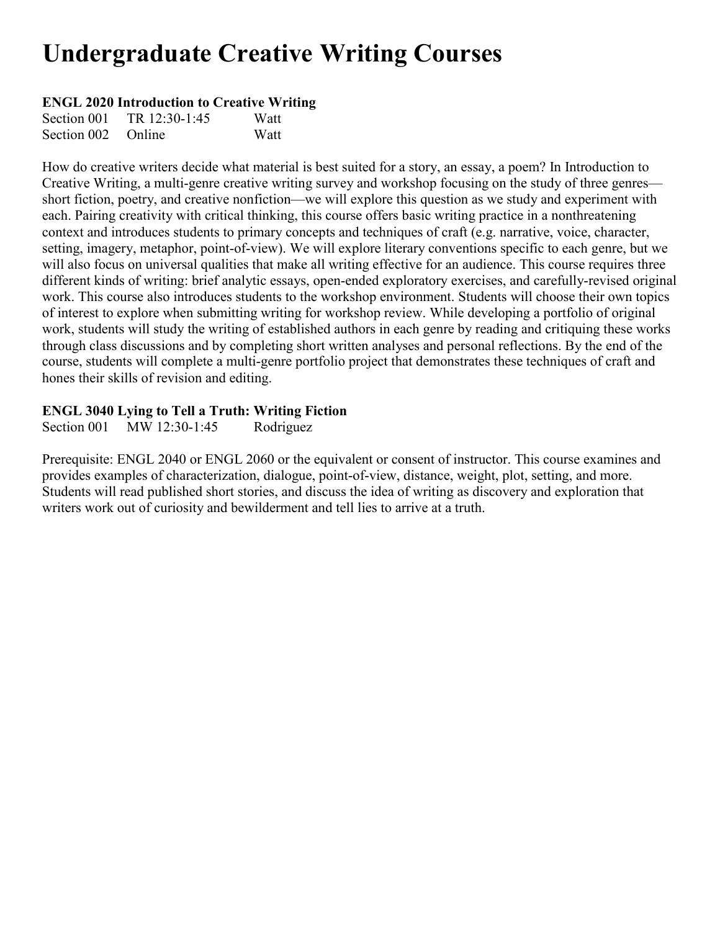# **Undergraduate Creative Writing Courses**

#### **ENGL 2020 Introduction to Creative Writing**

| Section 001        | TR 12:30-1:45 | Watt |
|--------------------|---------------|------|
| Section 002 Online |               | Watt |

How do creative writers decide what material is best suited for a story, an essay, a poem? In Introduction to Creative Writing, a multi-genre creative writing survey and workshop focusing on the study of three genres short fiction, poetry, and creative nonfiction—we will explore this question as we study and experiment with each. Pairing creativity with critical thinking, this course offers basic writing practice in a nonthreatening context and introduces students to primary concepts and techniques of craft (e.g. narrative, voice, character, setting, imagery, metaphor, point-of-view). We will explore literary conventions specific to each genre, but we will also focus on universal qualities that make all writing effective for an audience. This course requires three different kinds of writing: brief analytic essays, open-ended exploratory exercises, and carefully-revised original work. This course also introduces students to the workshop environment. Students will choose their own topics of interest to explore when submitting writing for workshop review. While developing a portfolio of original work, students will study the writing of established authors in each genre by reading and critiquing these works through class discussions and by completing short written analyses and personal reflections. By the end of the course, students will complete a multi-genre portfolio project that demonstrates these techniques of craft and hones their skills of revision and editing.

#### **ENGL 3040 Lying to Tell a Truth: Writing Fiction**

Section 001 MW 12:30-1:45 Rodriguez

Prerequisite: ENGL 2040 or ENGL 2060 or the equivalent or consent of instructor. This course examines and provides examples of characterization, dialogue, point-of-view, distance, weight, plot, setting, and more. Students will read published short stories, and discuss the idea of writing as discovery and exploration that writers work out of curiosity and bewilderment and tell lies to arrive at a truth.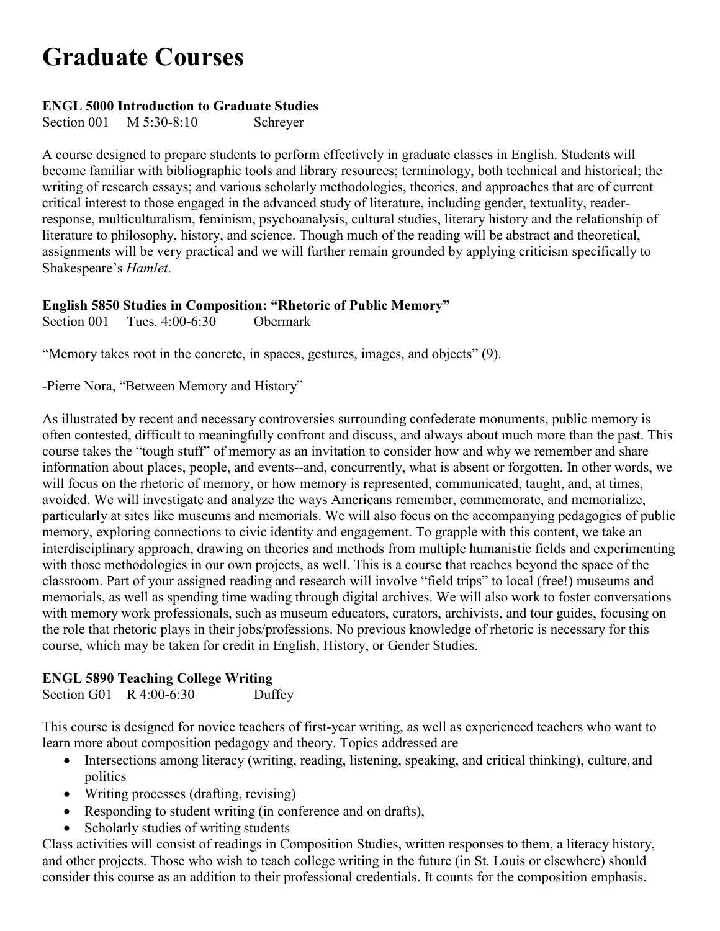# **Graduate Courses**

### **ENGL 5000 Introduction to Graduate Studies**

Section 001 M 5:30-8:10 Schreyer

A course designed to prepare students to perform effectively in graduate classes in English. Students will become familiar with bibliographic tools and library resources; terminology, both technical and historical; the writing of research essays; and various scholarly methodologies, theories, and approaches that are of current critical interest to those engaged in the advanced study of literature, including gender, textuality, readerresponse, multiculturalism, feminism, psychoanalysis, cultural studies, literary history and the relationship of literature to philosophy, history, and science. Though much of the reading will be abstract and theoretical, assignments will be very practical and we will further remain grounded by applying criticism specifically to Shakespeare's *Hamlet*.

# **English 5850 Studies in Composition: "Rhetoric of Public Memory"**

Section 001 Tues. 4:00-6:30 Obermark

"Memory takes root in the concrete, in spaces, gestures, images, and objects" (9).

-Pierre Nora, "Between Memory and History"

As illustrated by recent and necessary controversies surrounding confederate monuments, public memory is often contested, difficult to meaningfully confront and discuss, and always about much more than the past. This course takes the "tough stuff" of memory as an invitation to consider how and why we remember and share information about places, people, and events--and, concurrently, what is absent or forgotten. In other words, we will focus on the rhetoric of memory, or how memory is represented, communicated, taught, and, at times, avoided. We will investigate and analyze the ways Americans remember, commemorate, and memorialize, particularly at sites like museums and memorials. We will also focus on the accompanying pedagogies of public memory, exploring connections to civic identity and engagement. To grapple with this content, we take an interdisciplinary approach, drawing on theories and methods from multiple humanistic fields and experimenting with those methodologies in our own projects, as well. This is a course that reaches beyond the space of the classroom. Part of your assigned reading and research will involve "field trips" to local (free!) museums and memorials, as well as spending time wading through digital archives. We will also work to foster conversations with memory work professionals, such as museum educators, curators, archivists, and tour guides, focusing on the role that rhetoric plays in their jobs/professions. No previous knowledge of rhetoric is necessary for this course, which may be taken for credit in English, History, or Gender Studies.

# **ENGL 5890 Teaching College Writing**

Section G01 R 4:00-6:30 Duffey

This course is designed for novice teachers of first-year writing, as well as experienced teachers who want to learn more about composition pedagogy and theory. Topics addressed are

- Intersections among literacy (writing, reading, listening, speaking, and critical thinking), culture, and politics
- Writing processes (drafting, revising)
- Responding to student writing (in conference and on drafts),
- Scholarly studies of writing students

Class activities will consist of readings in Composition Studies, written responses to them, a literacy history, and other projects. Those who wish to teach college writing in the future (in St. Louis or elsewhere) should consider this course as an addition to their professional credentials. It counts for the composition emphasis.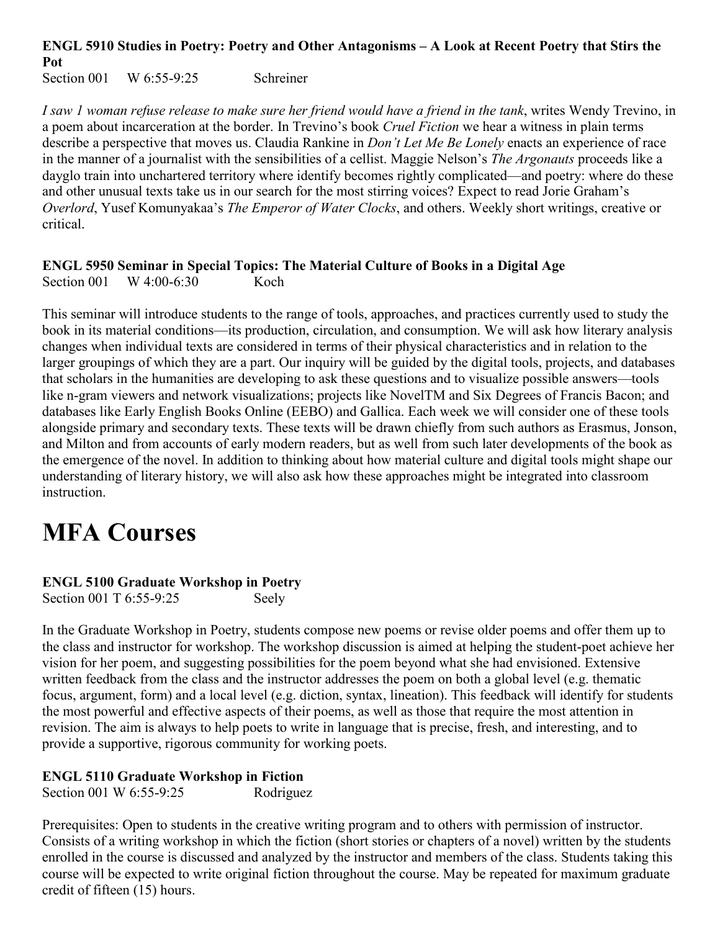# **ENGL 5910 Studies in Poetry: Poetry and Other Antagonisms – A Look at Recent Poetry that Stirs the**  Pot<br>Section 001

 $W$  6:55-9:25 Schreiner

*I saw 1 woman refuse release to make sure her friend would have a friend in the tank*, writes Wendy Trevino, in a poem about incarceration at the border. In Trevino's book *Cruel Fiction* we hear a witness in plain terms describe a perspective that moves us. Claudia Rankine in *Don't Let Me Be Lonely* enacts an experience of race in the manner of a journalist with the sensibilities of a cellist. Maggie Nelson's *The Argonauts* proceeds like a dayglo train into unchartered territory where identify becomes rightly complicated—and poetry: where do these and other unusual texts take us in our search for the most stirring voices? Expect to read Jorie Graham's *Overlord*, Yusef Komunyakaa's *The Emperor of Water Clocks*, and others. Weekly short writings, creative or critical.

# **ENGL 5950 Seminar in Special Topics: The Material Culture of Books in a Digital Age**

Section 001 W 4:00-6:30 Koch

This seminar will introduce students to the range of tools, approaches, and practices currently used to study the book in its material conditions—its production, circulation, and consumption. We will ask how literary analysis changes when individual texts are considered in terms of their physical characteristics and in relation to the larger groupings of which they are a part. Our inquiry will be guided by the digital tools, projects, and databases that scholars in the humanities are developing to ask these questions and to visualize possible answers—tools like n-gram viewers and network visualizations; projects like NovelTM and Six Degrees of Francis Bacon; and databases like Early English Books Online (EEBO) and Gallica. Each week we will consider one of these tools alongside primary and secondary texts. These texts will be drawn chiefly from such authors as Erasmus, Jonson, and Milton and from accounts of early modern readers, but as well from such later developments of the book as the emergence of the novel. In addition to thinking about how material culture and digital tools might shape our understanding of literary history, we will also ask how these approaches might be integrated into classroom instruction.

# **MFA Courses**

# **ENGL 5100 Graduate Workshop in Poetry**

Section 001 T 6:55-9:25 Seely

In the Graduate Workshop in Poetry, students compose new poems or revise older poems and offer them up to the class and instructor for workshop. The workshop discussion is aimed at helping the student-poet achieve her vision for her poem, and suggesting possibilities for the poem beyond what she had envisioned. Extensive written feedback from the class and the instructor addresses the poem on both a global level (e.g. thematic focus, argument, form) and a local level (e.g. diction, syntax, lineation). This feedback will identify for students the most powerful and effective aspects of their poems, as well as those that require the most attention in revision. The aim is always to help poets to write in language that is precise, fresh, and interesting, and to provide a supportive, rigorous community for working poets.

# **ENGL 5110 Graduate Workshop in Fiction**

Section 001 W 6:55-9:25 Rodriguez

Prerequisites: Open to students in the creative writing program and to others with permission of instructor. Consists of a writing workshop in which the fiction (short stories or chapters of a novel) written by the students enrolled in the course is discussed and analyzed by the instructor and members of the class. Students taking this course will be expected to write original fiction throughout the course. May be repeated for maximum graduate credit of fifteen (15) hours.